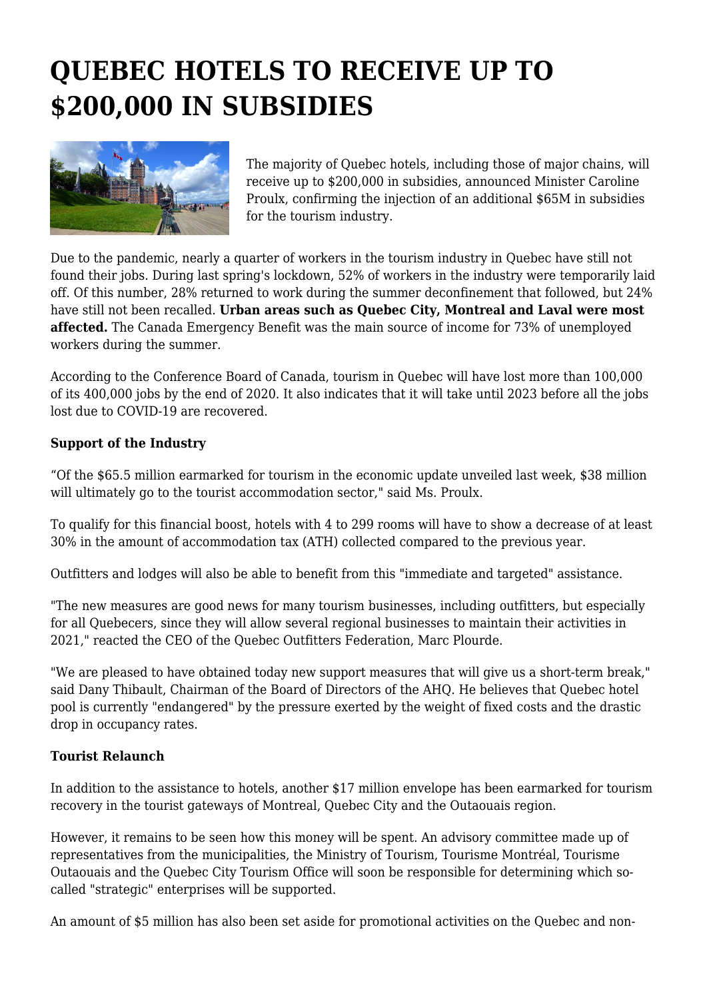## **QUEBEC HOTELS TO RECEIVE UP TO \$200,000 IN SUBSIDIES**



The majority of Quebec hotels, including those of major chains, will receive up to \$200,000 in subsidies, announced Minister Caroline Proulx, confirming the injection of an additional \$65M in subsidies for the tourism industry.

Due to the pandemic, nearly a quarter of workers in the tourism industry in Quebec have still not found their jobs. During last spring's lockdown, 52% of workers in the industry were temporarily laid off. Of this number, 28% returned to work during the summer deconfinement that followed, but 24% have still not been recalled. **Urban areas such as Quebec City, Montreal and Laval were most affected.** The Canada Emergency Benefit was the main source of income for 73% of unemployed workers during the summer.

According to the Conference Board of Canada, tourism in Quebec will have lost more than 100,000 of its 400,000 jobs by the end of 2020. It also indicates that it will take until 2023 before all the jobs lost due to COVID-19 are recovered.

## **Support of the Industry**

"Of the \$65.5 million earmarked for tourism in the economic update unveiled last week, \$38 million will ultimately go to the tourist accommodation sector," said Ms. Proulx.

To qualify for this financial boost, hotels with 4 to 299 rooms will have to show a decrease of at least 30% in the amount of accommodation tax (ATH) collected compared to the previous year.

Outfitters and lodges will also be able to benefit from this "immediate and targeted" assistance.

"The new measures are good news for many tourism businesses, including outfitters, but especially for all Quebecers, since they will allow several regional businesses to maintain their activities in 2021," reacted the CEO of the Quebec Outfitters Federation, Marc Plourde.

"We are pleased to have obtained today new support measures that will give us a short-term break," said Dany Thibault, Chairman of the Board of Directors of the AHQ. He believes that Quebec hotel pool is currently "endangered" by the pressure exerted by the weight of fixed costs and the drastic drop in occupancy rates.

## **Tourist Relaunch**

In addition to the assistance to hotels, another \$17 million envelope has been earmarked for tourism recovery in the tourist gateways of Montreal, Quebec City and the Outaouais region.

However, it remains to be seen how this money will be spent. An advisory committee made up of representatives from the municipalities, the Ministry of Tourism, Tourisme Montréal, Tourisme Outaouais and the Quebec City Tourism Office will soon be responsible for determining which socalled "strategic" enterprises will be supported.

An amount of \$5 million has also been set aside for promotional activities on the Quebec and non-